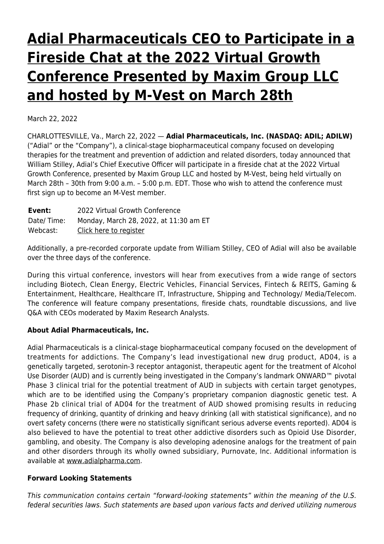## **[Adial Pharmaceuticals CEO to Participate in a](https://www.adial.com/adial-pharmaceuticals-ceo-to-participate-in-a-fireside-chat-at-the-2022-virtual-growth-conference-presented-by-maxim-group-llc-and-hosted-by-m-vest-on-march-28th/) [Fireside Chat at the 2022 Virtual Growth](https://www.adial.com/adial-pharmaceuticals-ceo-to-participate-in-a-fireside-chat-at-the-2022-virtual-growth-conference-presented-by-maxim-group-llc-and-hosted-by-m-vest-on-march-28th/) [Conference Presented by Maxim Group LLC](https://www.adial.com/adial-pharmaceuticals-ceo-to-participate-in-a-fireside-chat-at-the-2022-virtual-growth-conference-presented-by-maxim-group-llc-and-hosted-by-m-vest-on-march-28th/) [and hosted by M-Vest on March 28th](https://www.adial.com/adial-pharmaceuticals-ceo-to-participate-in-a-fireside-chat-at-the-2022-virtual-growth-conference-presented-by-maxim-group-llc-and-hosted-by-m-vest-on-march-28th/)**

March 22, 2022

CHARLOTTESVILLE, Va., March 22, 2022 — **Adial Pharmaceuticals, Inc. (NASDAQ: ADIL; ADILW)** ("Adial" or the "Company"), a clinical-stage biopharmaceutical company focused on developing therapies for the treatment and prevention of addiction and related disorders, today announced that William Stilley, Adial's Chief Executive Officer will participate in a fireside chat at the 2022 Virtual Growth Conference, presented by Maxim Group LLC and hosted by M-Vest, being held virtually on March 28th – 30th from 9:00 a.m. – 5:00 p.m. EDT. Those who wish to attend the conference must first sign up to become an M-Vest member.

| Event:     | 2022 Virtual Growth Conference         |
|------------|----------------------------------------|
| Date/Time: | Monday, March 28, 2022, at 11:30 am ET |
| Webcast:   | Click here to register                 |

Additionally, a pre-recorded corporate update from William Stilley, CEO of Adial will also be available over the three days of the conference.

During this virtual conference, investors will hear from executives from a wide range of sectors including Biotech, Clean Energy, Electric Vehicles, Financial Services, Fintech & REITS, Gaming & Entertainment, Healthcare, Healthcare IT, Infrastructure, Shipping and Technology/ Media/Telecom. The conference will feature company presentations, fireside chats, roundtable discussions, and live Q&A with CEOs moderated by Maxim Research Analysts.

## **About Adial Pharmaceuticals, Inc.**

Adial Pharmaceuticals is a clinical-stage biopharmaceutical company focused on the development of treatments for addictions. The Company's lead investigational new drug product, AD04, is a genetically targeted, serotonin-3 receptor antagonist, therapeutic agent for the treatment of Alcohol Use Disorder (AUD) and is currently being investigated in the Company's landmark ONWARD™ pivotal Phase 3 clinical trial for the potential treatment of AUD in subjects with certain target genotypes, which are to be identified using the Company's proprietary companion diagnostic genetic test. A Phase 2b clinical trial of AD04 for the treatment of AUD showed promising results in reducing frequency of drinking, quantity of drinking and heavy drinking (all with statistical significance), and no overt safety concerns (there were no statistically significant serious adverse events reported). AD04 is also believed to have the potential to treat other addictive disorders such as Opioid Use Disorder, gambling, and obesity. The Company is also developing adenosine analogs for the treatment of pain and other disorders through its wholly owned subsidiary, Purnovate, Inc. Additional information is available at [www.adialpharma.com](https://www.globenewswire.com/Tracker?data=GyaOF0ffF4htuyaMge6rsPOeikU_6Q_xoieC23U8S9g4KjFTN24kUT6acCfQ8lFOer3Ys0v4gHTmiae2yvyYGQlXZ2szxHhmsY5dC9Z3Gg0=).

## **Forward Looking Statements**

This communication contains certain "forward-looking statements" within the meaning of the U.S. federal securities laws. Such statements are based upon various facts and derived utilizing numerous